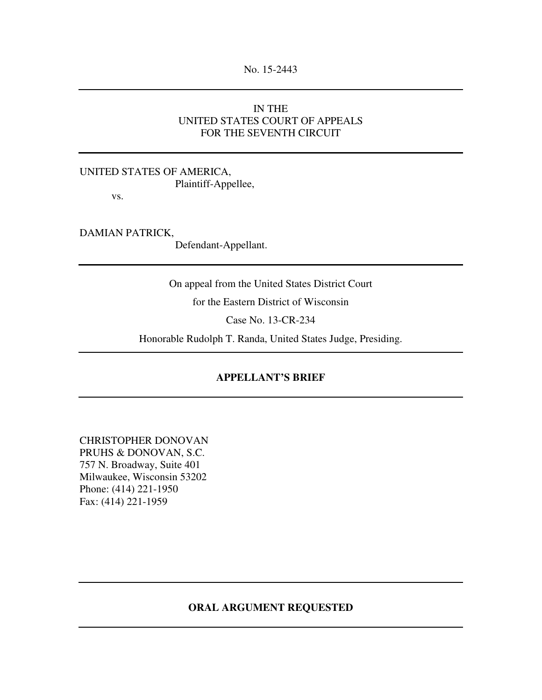# IN THE UNITED STATES COURT OF APPEALS FOR THE SEVENTH CIRCUIT

## UNITED STATES OF AMERICA, Plaintiff-Appellee,

vs.

DAMIAN PATRICK,

Defendant-Appellant.

On appeal from the United States District Court

for the Eastern District of Wisconsin

Case No. 13-CR-234

Honorable Rudolph T. Randa, United States Judge, Presiding.

## **APPELLANT'S BRIEF**

CHRISTOPHER DONOVAN PRUHS & DONOVAN, S.C. 757 N. Broadway, Suite 401 Milwaukee, Wisconsin 53202 Phone: (414) 221-1950 Fax: (414) 221-1959

### **ORAL ARGUMENT REQUESTED**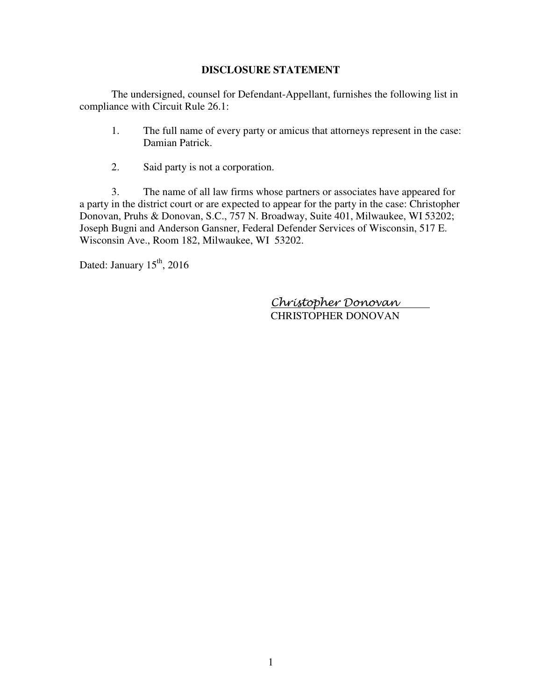### **DISCLOSURE STATEMENT**

The undersigned, counsel for Defendant-Appellant, furnishes the following list in compliance with Circuit Rule 26.1:

- 1. The full name of every party or amicus that attorneys represent in the case: Damian Patrick.
- 2. Said party is not a corporation.

3. The name of all law firms whose partners or associates have appeared for a party in the district court or are expected to appear for the party in the case: Christopher Donovan, Pruhs & Donovan, S.C., 757 N. Broadway, Suite 401, Milwaukee, WI 53202; Joseph Bugni and Anderson Gansner, Federal Defender Services of Wisconsin, 517 E. Wisconsin Ave., Room 182, Milwaukee, WI 53202.

Dated: January  $15<sup>th</sup>$ , 2016

 Christopher Donovan CHRISTOPHER DONOVAN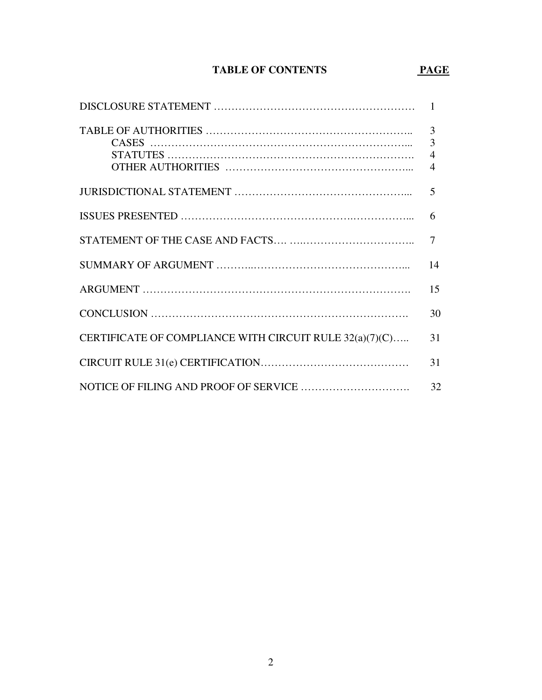# TABLE OF CONTENTS PAGE

|                                                         | 3                                |
|---------------------------------------------------------|----------------------------------|
|                                                         | $\overline{4}$<br>$\overline{4}$ |
|                                                         | 5                                |
|                                                         | 6                                |
|                                                         | $\tau$                           |
|                                                         | 14                               |
|                                                         | 15                               |
|                                                         | 30                               |
| CERTIFICATE OF COMPLIANCE WITH CIRCUIT RULE 32(a)(7)(C) | 31                               |
|                                                         | 31                               |
|                                                         | 32                               |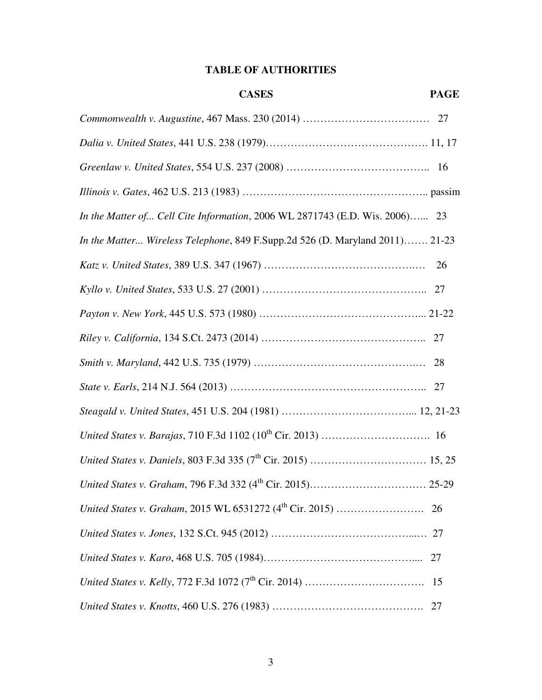# **TABLE OF AUTHORITIES**

| <b>CASES</b>                                                                 | <b>PAGE</b> |
|------------------------------------------------------------------------------|-------------|
|                                                                              |             |
|                                                                              |             |
|                                                                              |             |
|                                                                              |             |
| In the Matter of Cell Cite Information, 2006 WL 2871743 (E.D. Wis. 2006) 23  |             |
| In the Matter Wireless Telephone, 849 F.Supp.2d 526 (D. Maryland 2011) 21-23 |             |
|                                                                              | 26          |
|                                                                              |             |
|                                                                              |             |
|                                                                              |             |
|                                                                              |             |
|                                                                              |             |
|                                                                              |             |
|                                                                              |             |
|                                                                              |             |
|                                                                              |             |
|                                                                              | 26          |
|                                                                              |             |
|                                                                              | 27          |
|                                                                              | 15          |
|                                                                              | 27          |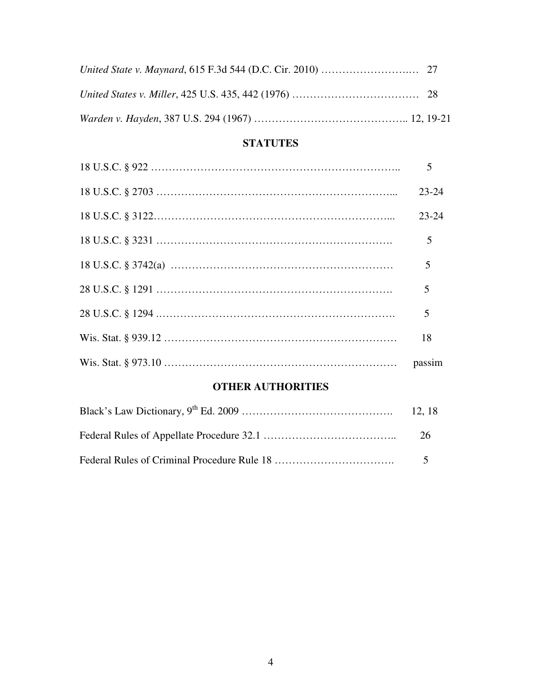# **STATUTES**

| $23 - 24$ |
|-----------|
| $23 - 24$ |
|           |
| 5         |
| 5         |
| 5         |
| 18        |
|           |

# **OTHER AUTHORITIES**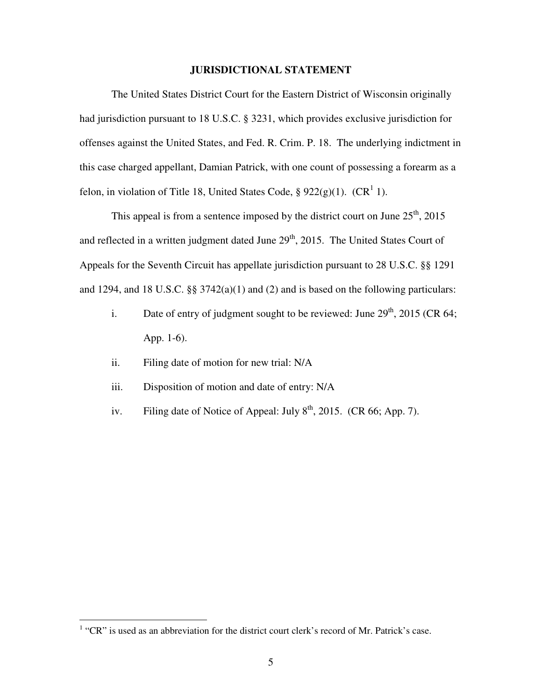#### **JURISDICTIONAL STATEMENT**

The United States District Court for the Eastern District of Wisconsin originally had jurisdiction pursuant to 18 U.S.C. § 3231, which provides exclusive jurisdiction for offenses against the United States, and Fed. R. Crim. P. 18. The underlying indictment in this case charged appellant, Damian Patrick, with one count of possessing a forearm as a felon, in violation of Title 18, United States Code,  $\S 922(g)(1)$ . (CR<sup>1</sup> 1).

This appeal is from a sentence imposed by the district court on June  $25<sup>th</sup>$ , 2015 and reflected in a written judgment dated June  $29<sup>th</sup>$ , 2015. The United States Court of Appeals for the Seventh Circuit has appellate jurisdiction pursuant to 28 U.S.C. §§ 1291 and 1294, and 18 U.S.C. §§ 3742(a)(1) and (2) and is based on the following particulars:

- i. Date of entry of judgment sought to be reviewed: June  $29<sup>th</sup>$ , 2015 (CR 64; App. 1-6).
- ii. Filing date of motion for new trial: N/A
- iii. Disposition of motion and date of entry: N/A
- iv. Filing date of Notice of Appeal: July  $8<sup>th</sup>$ , 2015. (CR 66; App. 7).

<sup>&</sup>lt;sup>1</sup> "CR" is used as an abbreviation for the district court clerk's record of Mr. Patrick's case.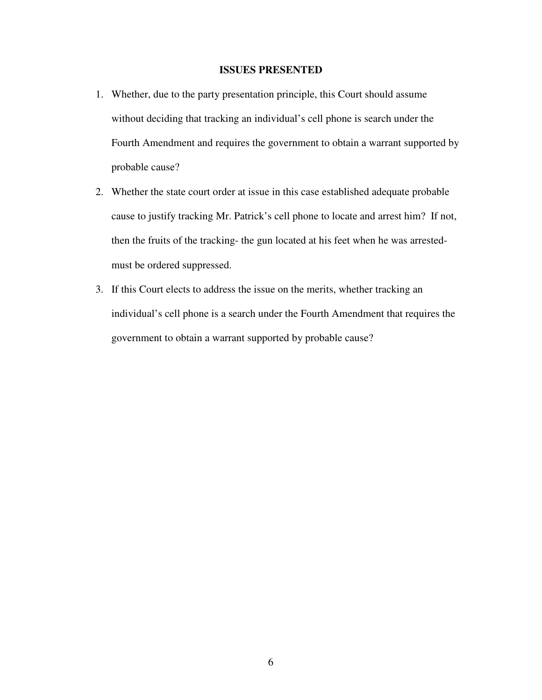#### **ISSUES PRESENTED**

- 1. Whether, due to the party presentation principle, this Court should assume without deciding that tracking an individual's cell phone is search under the Fourth Amendment and requires the government to obtain a warrant supported by probable cause?
- 2. Whether the state court order at issue in this case established adequate probable cause to justify tracking Mr. Patrick's cell phone to locate and arrest him? If not, then the fruits of the tracking- the gun located at his feet when he was arrestedmust be ordered suppressed.
- 3. If this Court elects to address the issue on the merits, whether tracking an individual's cell phone is a search under the Fourth Amendment that requires the government to obtain a warrant supported by probable cause?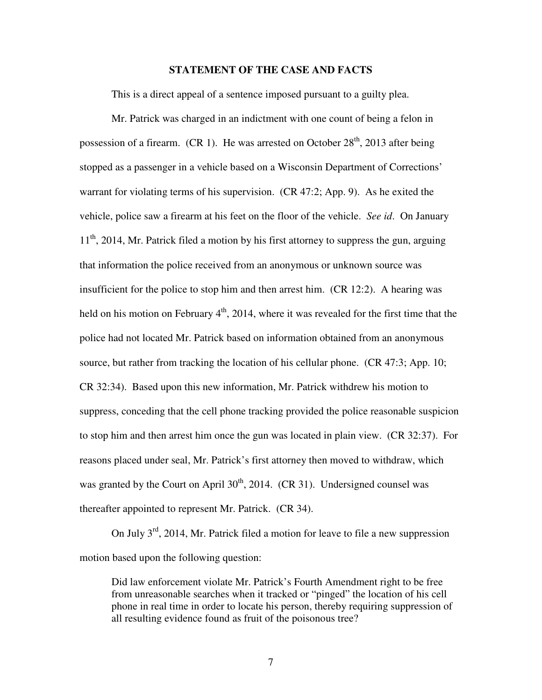#### **STATEMENT OF THE CASE AND FACTS**

This is a direct appeal of a sentence imposed pursuant to a guilty plea.

 Mr. Patrick was charged in an indictment with one count of being a felon in possession of a firearm. (CR 1). He was arrested on October  $28<sup>th</sup>$ , 2013 after being stopped as a passenger in a vehicle based on a Wisconsin Department of Corrections' warrant for violating terms of his supervision. (CR 47:2; App. 9). As he exited the vehicle, police saw a firearm at his feet on the floor of the vehicle. *See id*. On January  $11<sup>th</sup>$ , 2014, Mr. Patrick filed a motion by his first attorney to suppress the gun, arguing that information the police received from an anonymous or unknown source was insufficient for the police to stop him and then arrest him. (CR 12:2). A hearing was held on his motion on February  $4<sup>th</sup>$ , 2014, where it was revealed for the first time that the police had not located Mr. Patrick based on information obtained from an anonymous source, but rather from tracking the location of his cellular phone. (CR 47:3; App. 10; CR 32:34). Based upon this new information, Mr. Patrick withdrew his motion to suppress, conceding that the cell phone tracking provided the police reasonable suspicion to stop him and then arrest him once the gun was located in plain view. (CR 32:37). For reasons placed under seal, Mr. Patrick's first attorney then moved to withdraw, which was granted by the Court on April  $30<sup>th</sup>$ , 2014. (CR 31). Undersigned counsel was thereafter appointed to represent Mr. Patrick. (CR 34).

On July  $3<sup>rd</sup>$ , 2014, Mr. Patrick filed a motion for leave to file a new suppression motion based upon the following question:

Did law enforcement violate Mr. Patrick's Fourth Amendment right to be free from unreasonable searches when it tracked or "pinged" the location of his cell phone in real time in order to locate his person, thereby requiring suppression of all resulting evidence found as fruit of the poisonous tree?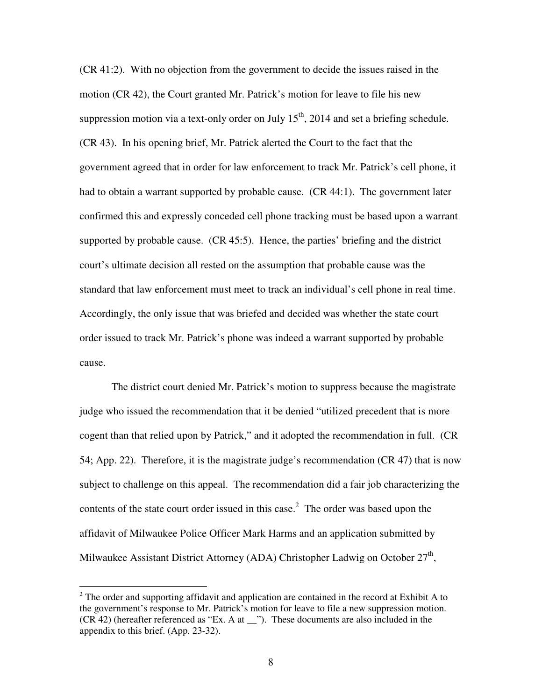(CR 41:2). With no objection from the government to decide the issues raised in the motion (CR 42), the Court granted Mr. Patrick's motion for leave to file his new suppression motion via a text-only order on July  $15<sup>th</sup>$ , 2014 and set a briefing schedule. (CR 43). In his opening brief, Mr. Patrick alerted the Court to the fact that the government agreed that in order for law enforcement to track Mr. Patrick's cell phone, it had to obtain a warrant supported by probable cause. (CR 44:1). The government later confirmed this and expressly conceded cell phone tracking must be based upon a warrant supported by probable cause. (CR 45:5). Hence, the parties' briefing and the district court's ultimate decision all rested on the assumption that probable cause was the standard that law enforcement must meet to track an individual's cell phone in real time. Accordingly, the only issue that was briefed and decided was whether the state court order issued to track Mr. Patrick's phone was indeed a warrant supported by probable cause.

 The district court denied Mr. Patrick's motion to suppress because the magistrate judge who issued the recommendation that it be denied "utilized precedent that is more cogent than that relied upon by Patrick," and it adopted the recommendation in full. (CR 54; App. 22). Therefore, it is the magistrate judge's recommendation (CR 47) that is now subject to challenge on this appeal. The recommendation did a fair job characterizing the contents of the state court order issued in this case.<sup>2</sup> The order was based upon the affidavit of Milwaukee Police Officer Mark Harms and an application submitted by Milwaukee Assistant District Attorney (ADA) Christopher Ladwig on October  $27<sup>th</sup>$ ,

 $\overline{a}$ 

 $2^2$  The order and supporting affidavit and application are contained in the record at Exhibit A to the government's response to Mr. Patrick's motion for leave to file a new suppression motion. (CR 42) (hereafter referenced as "Ex. A at \_\_"). These documents are also included in the appendix to this brief. (App. 23-32).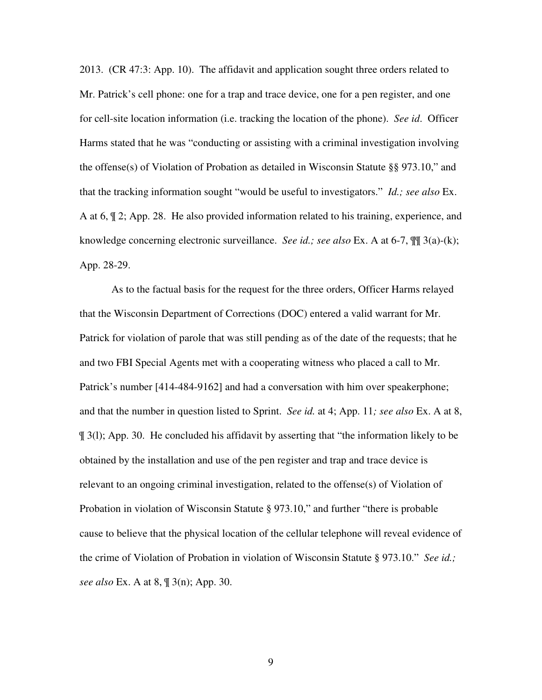2013. (CR 47:3: App. 10). The affidavit and application sought three orders related to Mr. Patrick's cell phone: one for a trap and trace device, one for a pen register, and one for cell-site location information (i.e. tracking the location of the phone). *See id*. Officer Harms stated that he was "conducting or assisting with a criminal investigation involving the offense(s) of Violation of Probation as detailed in Wisconsin Statute §§ 973.10," and that the tracking information sought "would be useful to investigators." *Id.; see also* Ex. A at 6, ¶ 2; App. 28. He also provided information related to his training, experience, and knowledge concerning electronic surveillance. *See id.; see also* Ex. A at 6-7, ¶¶ 3(a)-(k); App. 28-29.

 As to the factual basis for the request for the three orders, Officer Harms relayed that the Wisconsin Department of Corrections (DOC) entered a valid warrant for Mr. Patrick for violation of parole that was still pending as of the date of the requests; that he and two FBI Special Agents met with a cooperating witness who placed a call to Mr. Patrick's number [414-484-9162] and had a conversation with him over speakerphone; and that the number in question listed to Sprint. *See id.* at 4; App. 11*; see also* Ex. A at 8, ¶ 3(l); App. 30. He concluded his affidavit by asserting that "the information likely to be obtained by the installation and use of the pen register and trap and trace device is relevant to an ongoing criminal investigation, related to the offense(s) of Violation of Probation in violation of Wisconsin Statute § 973.10," and further "there is probable cause to believe that the physical location of the cellular telephone will reveal evidence of the crime of Violation of Probation in violation of Wisconsin Statute § 973.10." *See id.; see also* Ex. A at 8, ¶ 3(n); App. 30.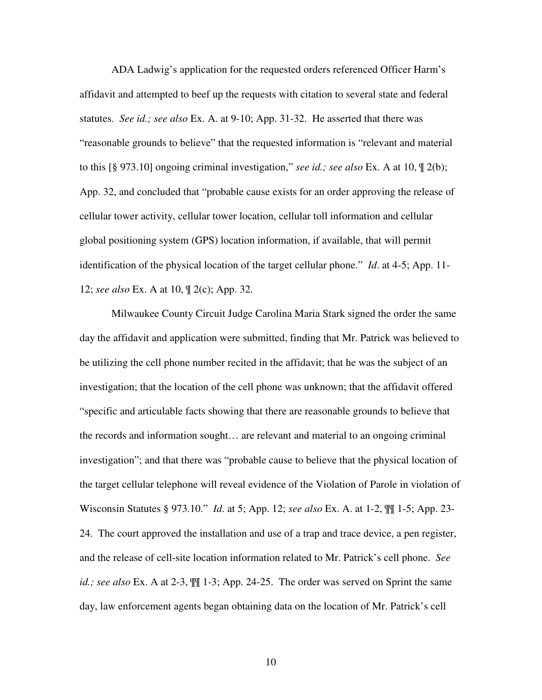ADA Ladwig's application for the requested orders referenced Officer Harm's affidavit and attempted to beef up the requests with citation to several state and federal statutes. *See id.; see also* Ex. A. at 9-10; App. 31-32. He asserted that there was "reasonable grounds to believe" that the requested information is "relevant and material to this [§ 973.10] ongoing criminal investigation," *see id.; see also* Ex. A at 10, ¶ 2(b); App. 32, and concluded that "probable cause exists for an order approving the release of cellular tower activity, cellular tower location, cellular toll information and cellular global positioning system (GPS) location information, if available, that will permit identification of the physical location of the target cellular phone." *Id*. at 4-5; App. 11- 12; *see also* Ex. A at 10, ¶ 2(c); App. 32.

 Milwaukee County Circuit Judge Carolina Maria Stark signed the order the same day the affidavit and application were submitted, finding that Mr. Patrick was believed to be utilizing the cell phone number recited in the affidavit; that he was the subject of an investigation; that the location of the cell phone was unknown; that the affidavit offered "specific and articulable facts showing that there are reasonable grounds to believe that the records and information sought… are relevant and material to an ongoing criminal investigation"; and that there was "probable cause to believe that the physical location of the target cellular telephone will reveal evidence of the Violation of Parole in violation of Wisconsin Statutes § 973.10." *Id*. at 5; App. 12; *see also* Ex. A. at 1-2, ¶¶ 1-5; App. 23- 24. The court approved the installation and use of a trap and trace device, a pen register, and the release of cell-site location information related to Mr. Patrick's cell phone. *See id.; see also* Ex. A at 2-3,  $\mathbb{M}$  1-3; App. 24-25. The order was served on Sprint the same day, law enforcement agents began obtaining data on the location of Mr. Patrick's cell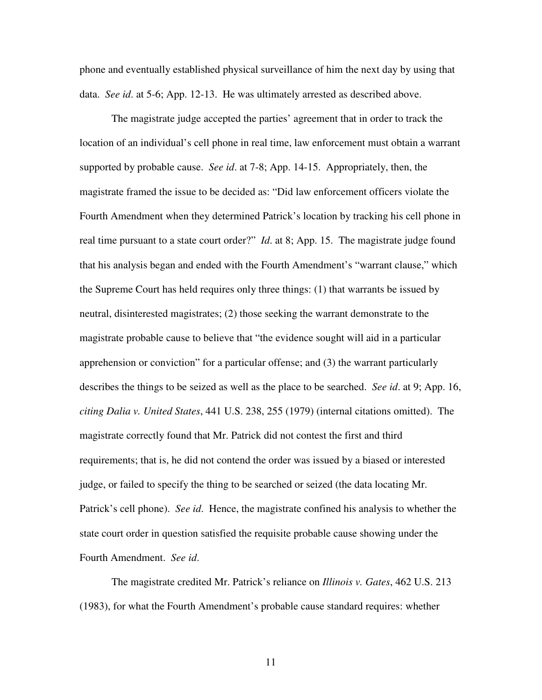phone and eventually established physical surveillance of him the next day by using that data. *See id*. at 5-6; App. 12-13. He was ultimately arrested as described above.

 The magistrate judge accepted the parties' agreement that in order to track the location of an individual's cell phone in real time, law enforcement must obtain a warrant supported by probable cause. *See id*. at 7-8; App. 14-15. Appropriately, then, the magistrate framed the issue to be decided as: "Did law enforcement officers violate the Fourth Amendment when they determined Patrick's location by tracking his cell phone in real time pursuant to a state court order?" *Id*. at 8; App. 15. The magistrate judge found that his analysis began and ended with the Fourth Amendment's "warrant clause," which the Supreme Court has held requires only three things: (1) that warrants be issued by neutral, disinterested magistrates; (2) those seeking the warrant demonstrate to the magistrate probable cause to believe that "the evidence sought will aid in a particular apprehension or conviction" for a particular offense; and (3) the warrant particularly describes the things to be seized as well as the place to be searched. *See id*. at 9; App. 16, *citing Dalia v. United States*, 441 U.S. 238, 255 (1979) (internal citations omitted). The magistrate correctly found that Mr. Patrick did not contest the first and third requirements; that is, he did not contend the order was issued by a biased or interested judge, or failed to specify the thing to be searched or seized (the data locating Mr. Patrick's cell phone). *See id*. Hence, the magistrate confined his analysis to whether the state court order in question satisfied the requisite probable cause showing under the Fourth Amendment. *See id*.

 The magistrate credited Mr. Patrick's reliance on *Illinois v. Gates*, 462 U.S. 213 (1983), for what the Fourth Amendment's probable cause standard requires: whether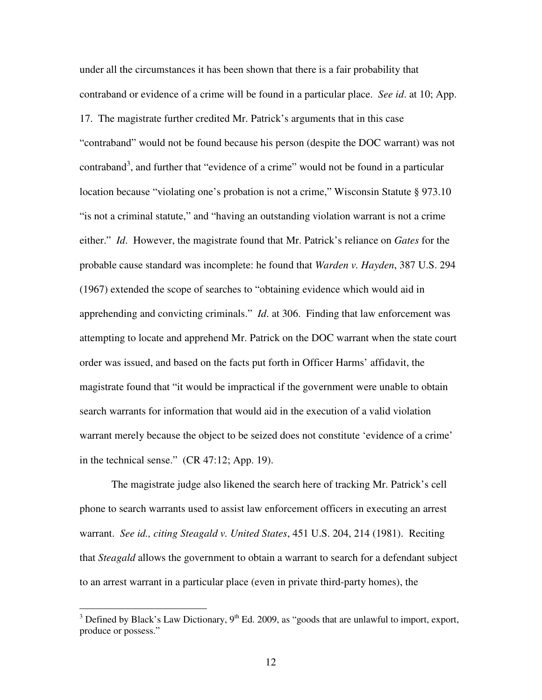under all the circumstances it has been shown that there is a fair probability that contraband or evidence of a crime will be found in a particular place. *See id*. at 10; App. 17. The magistrate further credited Mr. Patrick's arguments that in this case "contraband" would not be found because his person (despite the DOC warrant) was not contraband<sup>3</sup>, and further that "evidence of a crime" would not be found in a particular location because "violating one's probation is not a crime," Wisconsin Statute § 973.10 "is not a criminal statute," and "having an outstanding violation warrant is not a crime either." *Id*. However, the magistrate found that Mr. Patrick's reliance on *Gates* for the probable cause standard was incomplete: he found that *Warden v. Hayden*, 387 U.S. 294 (1967) extended the scope of searches to "obtaining evidence which would aid in apprehending and convicting criminals." *Id*. at 306. Finding that law enforcement was attempting to locate and apprehend Mr. Patrick on the DOC warrant when the state court order was issued, and based on the facts put forth in Officer Harms' affidavit, the magistrate found that "it would be impractical if the government were unable to obtain search warrants for information that would aid in the execution of a valid violation warrant merely because the object to be seized does not constitute 'evidence of a crime' in the technical sense." (CR 47:12; App. 19).

 The magistrate judge also likened the search here of tracking Mr. Patrick's cell phone to search warrants used to assist law enforcement officers in executing an arrest warrant. *See id., citing Steagald v. United States*, 451 U.S. 204, 214 (1981). Reciting that *Steagald* allows the government to obtain a warrant to search for a defendant subject to an arrest warrant in a particular place (even in private third-party homes), the

<sup>&</sup>lt;sup>3</sup> Defined by Black's Law Dictionary, 9<sup>th</sup> Ed. 2009, as "goods that are unlawful to import, export, produce or possess."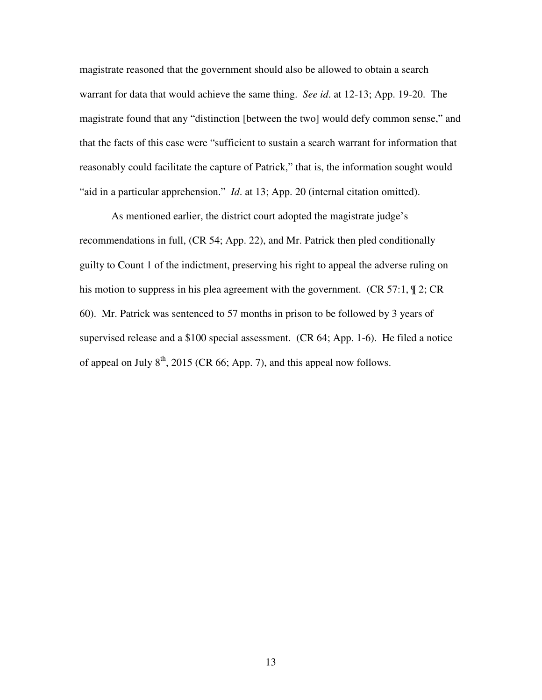magistrate reasoned that the government should also be allowed to obtain a search warrant for data that would achieve the same thing. *See id*. at 12-13; App. 19-20. The magistrate found that any "distinction [between the two] would defy common sense," and that the facts of this case were "sufficient to sustain a search warrant for information that reasonably could facilitate the capture of Patrick," that is, the information sought would "aid in a particular apprehension." *Id*. at 13; App. 20 (internal citation omitted).

 As mentioned earlier, the district court adopted the magistrate judge's recommendations in full, (CR 54; App. 22), and Mr. Patrick then pled conditionally guilty to Count 1 of the indictment, preserving his right to appeal the adverse ruling on his motion to suppress in his plea agreement with the government. (CR 57:1,  $\mathcal{P}$  2; CR 60). Mr. Patrick was sentenced to 57 months in prison to be followed by 3 years of supervised release and a \$100 special assessment. (CR 64; App. 1-6). He filed a notice of appeal on July  $8<sup>th</sup>$ , 2015 (CR 66; App. 7), and this appeal now follows.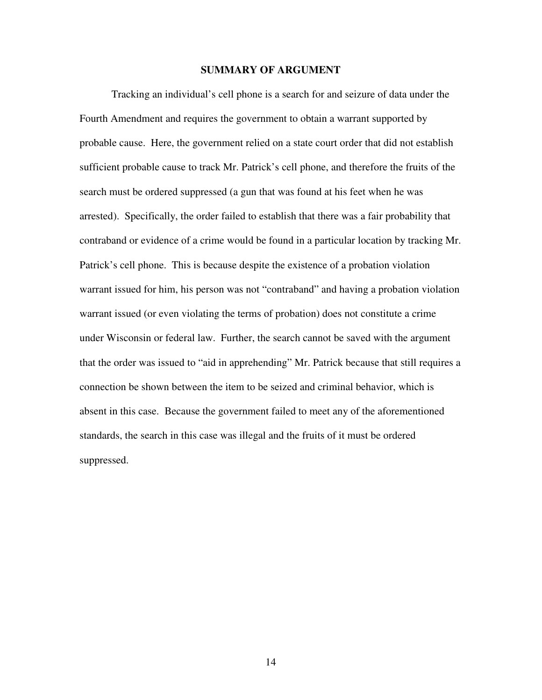#### **SUMMARY OF ARGUMENT**

Tracking an individual's cell phone is a search for and seizure of data under the Fourth Amendment and requires the government to obtain a warrant supported by probable cause. Here, the government relied on a state court order that did not establish sufficient probable cause to track Mr. Patrick's cell phone, and therefore the fruits of the search must be ordered suppressed (a gun that was found at his feet when he was arrested). Specifically, the order failed to establish that there was a fair probability that contraband or evidence of a crime would be found in a particular location by tracking Mr. Patrick's cell phone. This is because despite the existence of a probation violation warrant issued for him, his person was not "contraband" and having a probation violation warrant issued (or even violating the terms of probation) does not constitute a crime under Wisconsin or federal law. Further, the search cannot be saved with the argument that the order was issued to "aid in apprehending" Mr. Patrick because that still requires a connection be shown between the item to be seized and criminal behavior, which is absent in this case. Because the government failed to meet any of the aforementioned standards, the search in this case was illegal and the fruits of it must be ordered suppressed.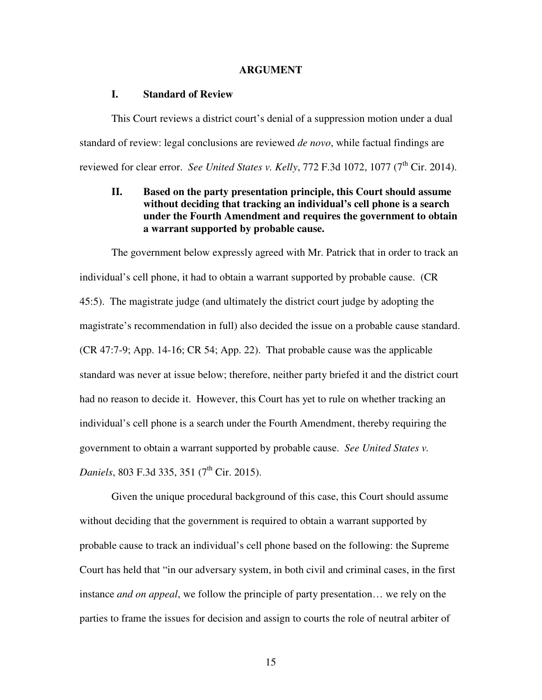#### **ARGUMENT**

#### **I. Standard of Review**

This Court reviews a district court's denial of a suppression motion under a dual standard of review: legal conclusions are reviewed *de novo*, while factual findings are reviewed for clear error. *See United States v. Kelly*, 772 F.3d 1072, 1077 ( $7^{\text{th}}$  Cir. 2014).

## **II. Based on the party presentation principle, this Court should assume without deciding that tracking an individual's cell phone is a search under the Fourth Amendment and requires the government to obtain a warrant supported by probable cause.**

 The government below expressly agreed with Mr. Patrick that in order to track an individual's cell phone, it had to obtain a warrant supported by probable cause. (CR 45:5). The magistrate judge (and ultimately the district court judge by adopting the magistrate's recommendation in full) also decided the issue on a probable cause standard. (CR 47:7-9; App. 14-16; CR 54; App. 22). That probable cause was the applicable standard was never at issue below; therefore, neither party briefed it and the district court had no reason to decide it. However, this Court has yet to rule on whether tracking an individual's cell phone is a search under the Fourth Amendment, thereby requiring the government to obtain a warrant supported by probable cause. *See United States v. Daniels*, 803 F.3d 335, 351 (7<sup>th</sup> Cir. 2015).

Given the unique procedural background of this case, this Court should assume without deciding that the government is required to obtain a warrant supported by probable cause to track an individual's cell phone based on the following: the Supreme Court has held that "in our adversary system, in both civil and criminal cases, in the first instance *and on appeal*, we follow the principle of party presentation… we rely on the parties to frame the issues for decision and assign to courts the role of neutral arbiter of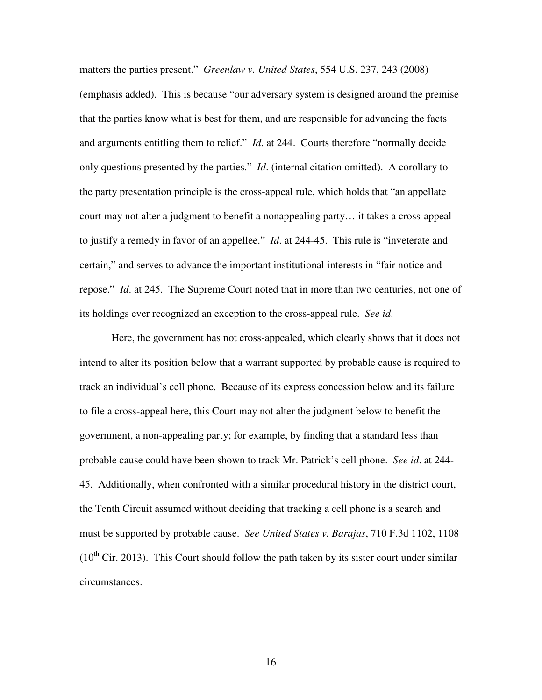matters the parties present." *Greenlaw v. United States*, 554 U.S. 237, 243 (2008) (emphasis added). This is because "our adversary system is designed around the premise that the parties know what is best for them, and are responsible for advancing the facts and arguments entitling them to relief." *Id*. at 244. Courts therefore "normally decide only questions presented by the parties." *Id*. (internal citation omitted). A corollary to the party presentation principle is the cross-appeal rule, which holds that "an appellate court may not alter a judgment to benefit a nonappealing party… it takes a cross-appeal to justify a remedy in favor of an appellee." *Id*. at 244-45. This rule is "inveterate and certain," and serves to advance the important institutional interests in "fair notice and repose." *Id*. at 245. The Supreme Court noted that in more than two centuries, not one of its holdings ever recognized an exception to the cross-appeal rule. *See id*.

Here, the government has not cross-appealed, which clearly shows that it does not intend to alter its position below that a warrant supported by probable cause is required to track an individual's cell phone. Because of its express concession below and its failure to file a cross-appeal here, this Court may not alter the judgment below to benefit the government, a non-appealing party; for example, by finding that a standard less than probable cause could have been shown to track Mr. Patrick's cell phone. *See id*. at 244- 45. Additionally, when confronted with a similar procedural history in the district court, the Tenth Circuit assumed without deciding that tracking a cell phone is a search and must be supported by probable cause. *See United States v. Barajas*, 710 F.3d 1102, 1108  $(10<sup>th</sup> Cir. 2013)$ . This Court should follow the path taken by its sister court under similar circumstances.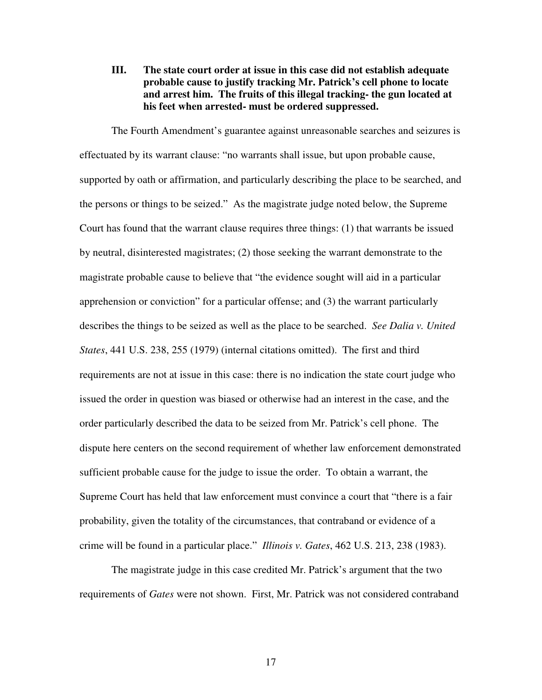**III. The state court order at issue in this case did not establish adequate probable cause to justify tracking Mr. Patrick's cell phone to locate and arrest him. The fruits of this illegal tracking- the gun located at his feet when arrested- must be ordered suppressed.**

The Fourth Amendment's guarantee against unreasonable searches and seizures is effectuated by its warrant clause: "no warrants shall issue, but upon probable cause, supported by oath or affirmation, and particularly describing the place to be searched, and the persons or things to be seized." As the magistrate judge noted below, the Supreme Court has found that the warrant clause requires three things: (1) that warrants be issued by neutral, disinterested magistrates; (2) those seeking the warrant demonstrate to the magistrate probable cause to believe that "the evidence sought will aid in a particular apprehension or conviction" for a particular offense; and (3) the warrant particularly describes the things to be seized as well as the place to be searched. *See Dalia v. United States*, 441 U.S. 238, 255 (1979) (internal citations omitted). The first and third requirements are not at issue in this case: there is no indication the state court judge who issued the order in question was biased or otherwise had an interest in the case, and the order particularly described the data to be seized from Mr. Patrick's cell phone. The dispute here centers on the second requirement of whether law enforcement demonstrated sufficient probable cause for the judge to issue the order. To obtain a warrant, the Supreme Court has held that law enforcement must convince a court that "there is a fair probability, given the totality of the circumstances, that contraband or evidence of a crime will be found in a particular place." *Illinois v. Gates*, 462 U.S. 213, 238 (1983).

The magistrate judge in this case credited Mr. Patrick's argument that the two requirements of *Gates* were not shown. First, Mr. Patrick was not considered contraband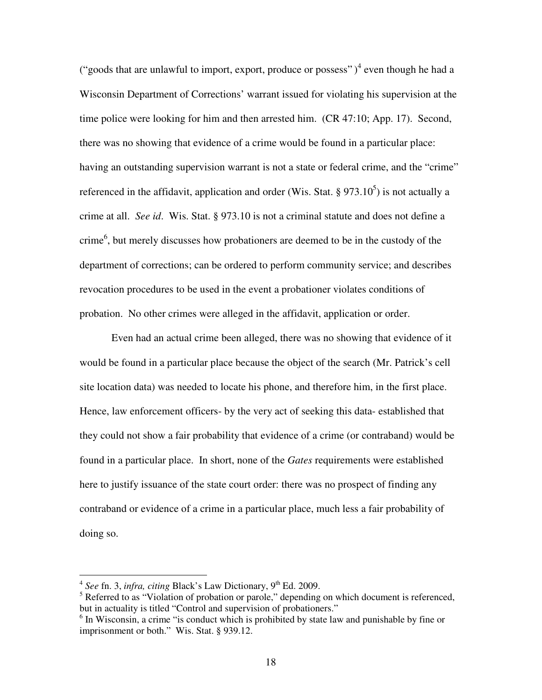("goods that are unlawful to import, export, produce or possess")<sup>4</sup> even though he had a Wisconsin Department of Corrections' warrant issued for violating his supervision at the time police were looking for him and then arrested him. (CR 47:10; App. 17). Second, there was no showing that evidence of a crime would be found in a particular place: having an outstanding supervision warrant is not a state or federal crime, and the "crime" referenced in the affidavit, application and order (Wis. Stat.  $\S 973.10^5$ ) is not actually a crime at all. *See id*. Wis. Stat. § 973.10 is not a criminal statute and does not define a crime<sup>6</sup>, but merely discusses how probationers are deemed to be in the custody of the department of corrections; can be ordered to perform community service; and describes revocation procedures to be used in the event a probationer violates conditions of probation. No other crimes were alleged in the affidavit, application or order.

Even had an actual crime been alleged, there was no showing that evidence of it would be found in a particular place because the object of the search (Mr. Patrick's cell site location data) was needed to locate his phone, and therefore him, in the first place. Hence, law enforcement officers- by the very act of seeking this data- established that they could not show a fair probability that evidence of a crime (or contraband) would be found in a particular place. In short, none of the *Gates* requirements were established here to justify issuance of the state court order: there was no prospect of finding any contraband or evidence of a crime in a particular place, much less a fair probability of doing so.

<sup>&</sup>lt;sup>4</sup> See fn. 3, *infra, citing* Black's Law Dictionary, 9<sup>th</sup> Ed. 2009.

<sup>&</sup>lt;sup>5</sup> Referred to as "Violation of probation or parole," depending on which document is referenced, but in actuality is titled "Control and supervision of probationers."

<sup>&</sup>lt;sup>6</sup> In Wisconsin, a crime "is conduct which is prohibited by state law and punishable by fine or imprisonment or both." Wis. Stat. § 939.12.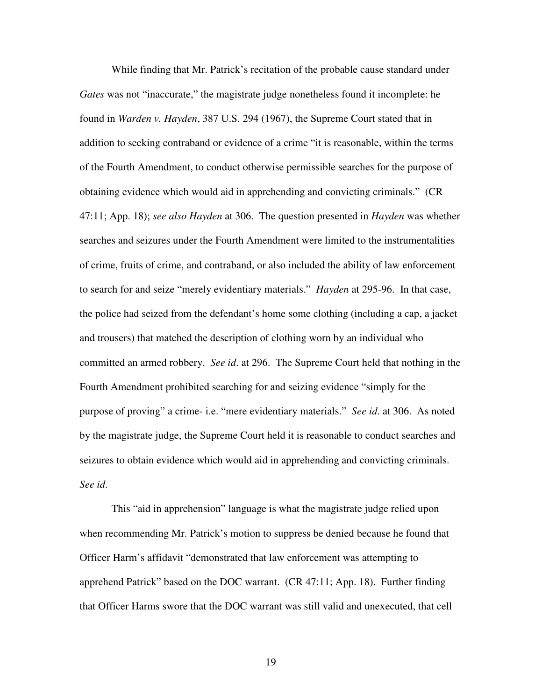While finding that Mr. Patrick's recitation of the probable cause standard under *Gates* was not "inaccurate," the magistrate judge nonetheless found it incomplete: he found in *Warden v. Hayden*, 387 U.S. 294 (1967), the Supreme Court stated that in addition to seeking contraband or evidence of a crime "it is reasonable, within the terms of the Fourth Amendment, to conduct otherwise permissible searches for the purpose of obtaining evidence which would aid in apprehending and convicting criminals." (CR 47:11; App. 18); *see also Hayden* at 306. The question presented in *Hayden* was whether searches and seizures under the Fourth Amendment were limited to the instrumentalities of crime, fruits of crime, and contraband, or also included the ability of law enforcement to search for and seize "merely evidentiary materials." *Hayden* at 295-96. In that case, the police had seized from the defendant's home some clothing (including a cap, a jacket and trousers) that matched the description of clothing worn by an individual who committed an armed robbery. *See id*. at 296. The Supreme Court held that nothing in the Fourth Amendment prohibited searching for and seizing evidence "simply for the purpose of proving" a crime- i.e. "mere evidentiary materials." *See id*. at 306. As noted by the magistrate judge, the Supreme Court held it is reasonable to conduct searches and seizures to obtain evidence which would aid in apprehending and convicting criminals. *See id*.

This "aid in apprehension" language is what the magistrate judge relied upon when recommending Mr. Patrick's motion to suppress be denied because he found that Officer Harm's affidavit "demonstrated that law enforcement was attempting to apprehend Patrick" based on the DOC warrant. (CR 47:11; App. 18). Further finding that Officer Harms swore that the DOC warrant was still valid and unexecuted, that cell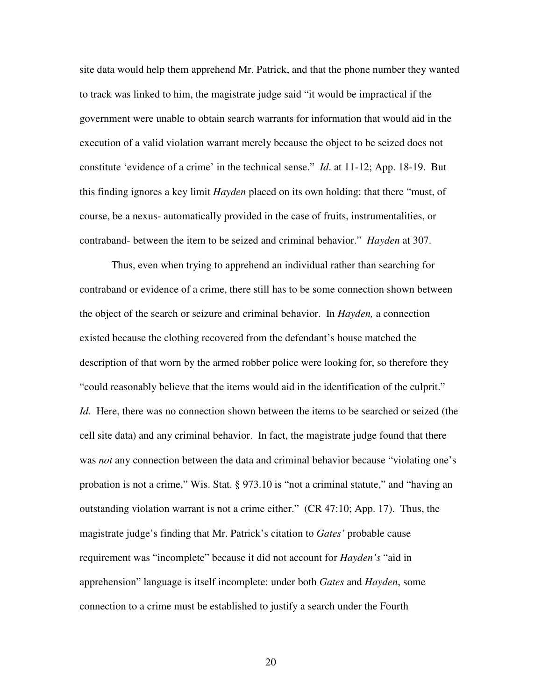site data would help them apprehend Mr. Patrick, and that the phone number they wanted to track was linked to him, the magistrate judge said "it would be impractical if the government were unable to obtain search warrants for information that would aid in the execution of a valid violation warrant merely because the object to be seized does not constitute 'evidence of a crime' in the technical sense." *Id*. at 11-12; App. 18-19. But this finding ignores a key limit *Hayden* placed on its own holding: that there "must, of course, be a nexus- automatically provided in the case of fruits, instrumentalities, or contraband- between the item to be seized and criminal behavior." *Hayden* at 307.

Thus, even when trying to apprehend an individual rather than searching for contraband or evidence of a crime, there still has to be some connection shown between the object of the search or seizure and criminal behavior. In *Hayden,* a connection existed because the clothing recovered from the defendant's house matched the description of that worn by the armed robber police were looking for, so therefore they "could reasonably believe that the items would aid in the identification of the culprit." *Id*. Here, there was no connection shown between the items to be searched or seized (the cell site data) and any criminal behavior. In fact, the magistrate judge found that there was *not* any connection between the data and criminal behavior because "violating one's probation is not a crime," Wis. Stat. § 973.10 is "not a criminal statute," and "having an outstanding violation warrant is not a crime either." (CR 47:10; App. 17). Thus, the magistrate judge's finding that Mr. Patrick's citation to *Gates'* probable cause requirement was "incomplete" because it did not account for *Hayden's* "aid in apprehension" language is itself incomplete: under both *Gates* and *Hayden*, some connection to a crime must be established to justify a search under the Fourth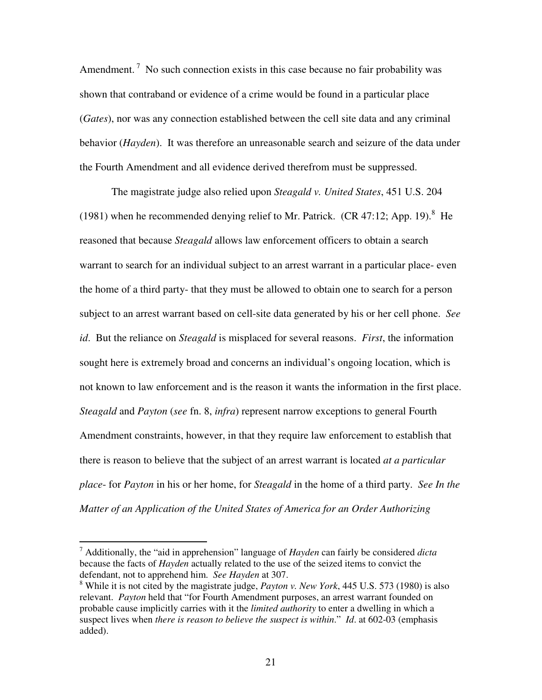Amendment.<sup>7</sup> No such connection exists in this case because no fair probability was shown that contraband or evidence of a crime would be found in a particular place (*Gates*), nor was any connection established between the cell site data and any criminal behavior (*Hayden*). It was therefore an unreasonable search and seizure of the data under the Fourth Amendment and all evidence derived therefrom must be suppressed.

The magistrate judge also relied upon *Steagald v. United States*, 451 U.S. 204 (1981) when he recommended denying relief to Mr. Patrick. (CR 47:12; App. 19). $^8$  He reasoned that because *Steagald* allows law enforcement officers to obtain a search warrant to search for an individual subject to an arrest warrant in a particular place- even the home of a third party- that they must be allowed to obtain one to search for a person subject to an arrest warrant based on cell-site data generated by his or her cell phone. *See id*. But the reliance on *Steagald* is misplaced for several reasons. *First*, the information sought here is extremely broad and concerns an individual's ongoing location, which is not known to law enforcement and is the reason it wants the information in the first place. *Steagald* and *Payton* (*see* fn. 8, *infra*) represent narrow exceptions to general Fourth Amendment constraints, however, in that they require law enforcement to establish that there is reason to believe that the subject of an arrest warrant is located *at a particular place*- for *Payton* in his or her home, for *Steagald* in the home of a third party. *See In the Matter of an Application of the United States of America for an Order Authorizing* 

 $\overline{a}$ 

<sup>7</sup> Additionally, the "aid in apprehension" language of *Hayden* can fairly be considered *dicta* because the facts of *Hayden* actually related to the use of the seized items to convict the defendant, not to apprehend him. *See Hayden* at 307.

<sup>8</sup> While it is not cited by the magistrate judge, *Payton v. New York*, 445 U.S. 573 (1980) is also relevant. *Payton* held that "for Fourth Amendment purposes, an arrest warrant founded on probable cause implicitly carries with it the *limited authority* to enter a dwelling in which a suspect lives when *there is reason to believe the suspect is within*." *Id*. at 602-03 (emphasis added).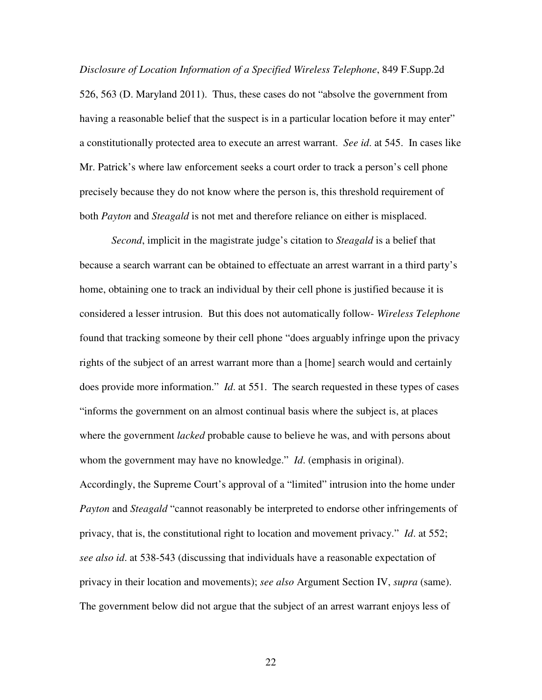*Disclosure of Location Information of a Specified Wireless Telephone*, 849 F.Supp.2d 526, 563 (D. Maryland 2011). Thus, these cases do not "absolve the government from having a reasonable belief that the suspect is in a particular location before it may enter" a constitutionally protected area to execute an arrest warrant. *See id*. at 545. In cases like Mr. Patrick's where law enforcement seeks a court order to track a person's cell phone precisely because they do not know where the person is, this threshold requirement of both *Payton* and *Steagald* is not met and therefore reliance on either is misplaced.

*Second*, implicit in the magistrate judge's citation to *Steagald* is a belief that because a search warrant can be obtained to effectuate an arrest warrant in a third party's home, obtaining one to track an individual by their cell phone is justified because it is considered a lesser intrusion. But this does not automatically follow- *Wireless Telephone* found that tracking someone by their cell phone "does arguably infringe upon the privacy rights of the subject of an arrest warrant more than a [home] search would and certainly does provide more information." *Id*. at 551. The search requested in these types of cases "informs the government on an almost continual basis where the subject is, at places where the government *lacked* probable cause to believe he was, and with persons about whom the government may have no knowledge." *Id*. (emphasis in original). Accordingly, the Supreme Court's approval of a "limited" intrusion into the home under *Payton* and *Steagald* "cannot reasonably be interpreted to endorse other infringements of privacy, that is, the constitutional right to location and movement privacy." *Id*. at 552; *see also id*. at 538-543 (discussing that individuals have a reasonable expectation of privacy in their location and movements); *see also* Argument Section IV, *supra* (same). The government below did not argue that the subject of an arrest warrant enjoys less of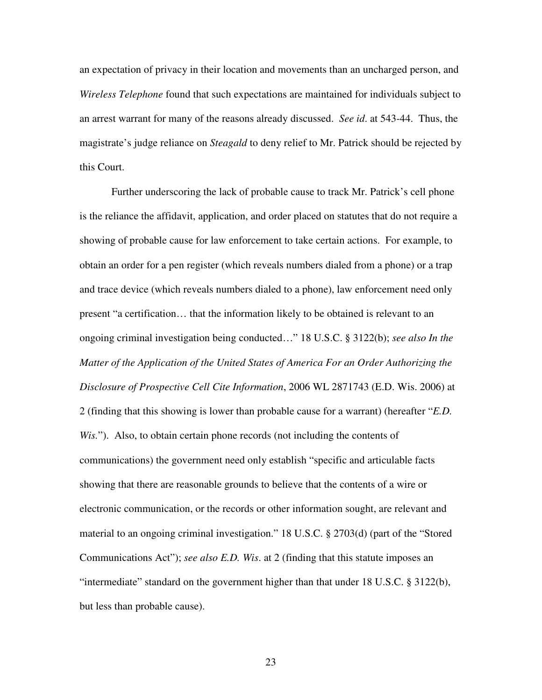an expectation of privacy in their location and movements than an uncharged person, and *Wireless Telephone* found that such expectations are maintained for individuals subject to an arrest warrant for many of the reasons already discussed. *See id*. at 543-44. Thus, the magistrate's judge reliance on *Steagald* to deny relief to Mr. Patrick should be rejected by this Court.

 Further underscoring the lack of probable cause to track Mr. Patrick's cell phone is the reliance the affidavit, application, and order placed on statutes that do not require a showing of probable cause for law enforcement to take certain actions. For example, to obtain an order for a pen register (which reveals numbers dialed from a phone) or a trap and trace device (which reveals numbers dialed to a phone), law enforcement need only present "a certification… that the information likely to be obtained is relevant to an ongoing criminal investigation being conducted…" 18 U.S.C. § 3122(b); *see also In the Matter of the Application of the United States of America For an Order Authorizing the Disclosure of Prospective Cell Cite Information*, 2006 WL 2871743 (E.D. Wis. 2006) at 2 (finding that this showing is lower than probable cause for a warrant) (hereafter "*E.D. Wis.*"). Also, to obtain certain phone records (not including the contents of communications) the government need only establish "specific and articulable facts showing that there are reasonable grounds to believe that the contents of a wire or electronic communication, or the records or other information sought, are relevant and material to an ongoing criminal investigation." 18 U.S.C. § 2703(d) (part of the "Stored Communications Act"); *see also E.D. Wis*. at 2 (finding that this statute imposes an "intermediate" standard on the government higher than that under 18 U.S.C. § 3122(b), but less than probable cause).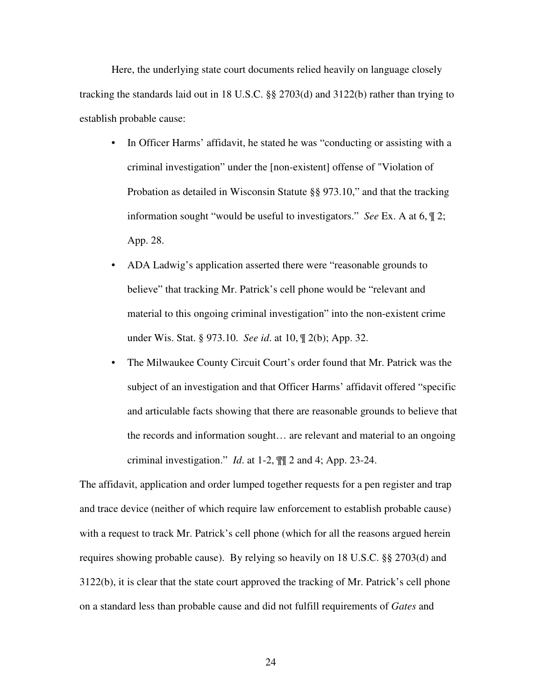Here, the underlying state court documents relied heavily on language closely tracking the standards laid out in 18 U.S.C. §§ 2703(d) and 3122(b) rather than trying to establish probable cause:

- In Officer Harms' affidavit, he stated he was "conducting or assisting with a criminal investigation" under the [non-existent] offense of "Violation of Probation as detailed in Wisconsin Statute §§ 973.10," and that the tracking information sought "would be useful to investigators." *See* Ex. A at 6, ¶ 2; App. 28.
- ADA Ladwig's application asserted there were "reasonable grounds to believe" that tracking Mr. Patrick's cell phone would be "relevant and material to this ongoing criminal investigation" into the non-existent crime under Wis. Stat. § 973.10. *See id*. at 10, ¶ 2(b); App. 32.
- The Milwaukee County Circuit Court's order found that Mr. Patrick was the subject of an investigation and that Officer Harms' affidavit offered "specific and articulable facts showing that there are reasonable grounds to believe that the records and information sought… are relevant and material to an ongoing criminal investigation." *Id*. at 1-2, ¶¶ 2 and 4; App. 23-24.

The affidavit, application and order lumped together requests for a pen register and trap and trace device (neither of which require law enforcement to establish probable cause) with a request to track Mr. Patrick's cell phone (which for all the reasons argued herein requires showing probable cause). By relying so heavily on 18 U.S.C. §§ 2703(d) and 3122(b), it is clear that the state court approved the tracking of Mr. Patrick's cell phone on a standard less than probable cause and did not fulfill requirements of *Gates* and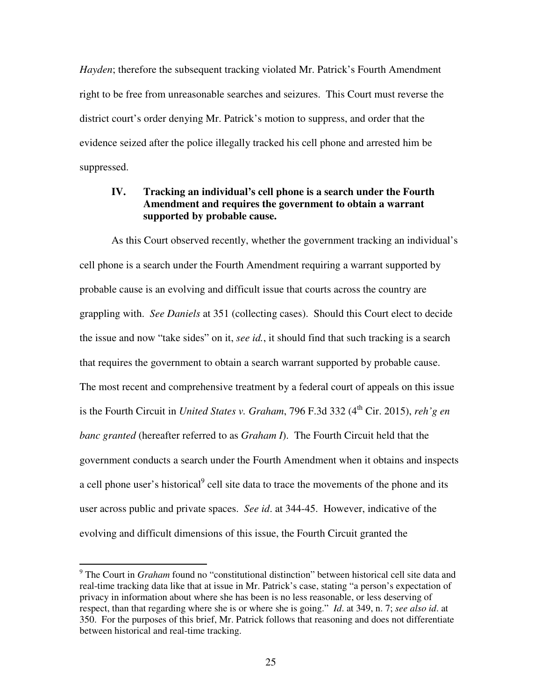*Hayden*; therefore the subsequent tracking violated Mr. Patrick's Fourth Amendment right to be free from unreasonable searches and seizures. This Court must reverse the district court's order denying Mr. Patrick's motion to suppress, and order that the evidence seized after the police illegally tracked his cell phone and arrested him be suppressed.

## **IV. Tracking an individual's cell phone is a search under the Fourth Amendment and requires the government to obtain a warrant supported by probable cause.**

 As this Court observed recently, whether the government tracking an individual's cell phone is a search under the Fourth Amendment requiring a warrant supported by probable cause is an evolving and difficult issue that courts across the country are grappling with. *See Daniels* at 351 (collecting cases). Should this Court elect to decide the issue and now "take sides" on it, *see id.*, it should find that such tracking is a search that requires the government to obtain a search warrant supported by probable cause. The most recent and comprehensive treatment by a federal court of appeals on this issue is the Fourth Circuit in *United States v. Graham*, 796 F.3d 332 (4<sup>th</sup> Cir. 2015), *reh'g en banc granted* (hereafter referred to as *Graham I*). The Fourth Circuit held that the government conducts a search under the Fourth Amendment when it obtains and inspects a cell phone user's historical<sup>9</sup> cell site data to trace the movements of the phone and its user across public and private spaces. *See id*. at 344-45. However, indicative of the evolving and difficult dimensions of this issue, the Fourth Circuit granted the

 $\overline{a}$ 

<sup>&</sup>lt;sup>9</sup> The Court in *Graham* found no "constitutional distinction" between historical cell site data and real-time tracking data like that at issue in Mr. Patrick's case, stating "a person's expectation of privacy in information about where she has been is no less reasonable, or less deserving of respect, than that regarding where she is or where she is going." *Id*. at 349, n. 7; *see also id*. at 350. For the purposes of this brief, Mr. Patrick follows that reasoning and does not differentiate between historical and real-time tracking.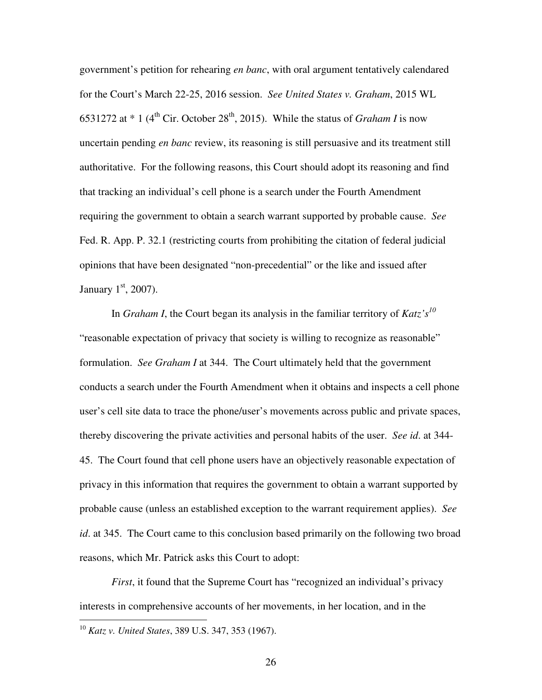government's petition for rehearing *en banc*, with oral argument tentatively calendared for the Court's March 22-25, 2016 session. *See United States v. Graham*, 2015 WL 6531272 at  $*$  1 (4<sup>th</sup> Cir. October 28<sup>th</sup>, 2015). While the status of *Graham I* is now uncertain pending *en banc* review, its reasoning is still persuasive and its treatment still authoritative. For the following reasons, this Court should adopt its reasoning and find that tracking an individual's cell phone is a search under the Fourth Amendment requiring the government to obtain a search warrant supported by probable cause. *See* Fed. R. App. P. 32.1 (restricting courts from prohibiting the citation of federal judicial opinions that have been designated "non-precedential" or the like and issued after January  $1<sup>st</sup>$ , 2007).

 In *Graham I*, the Court began its analysis in the familiar territory of *Katz's<sup>10</sup>* "reasonable expectation of privacy that society is willing to recognize as reasonable" formulation. *See Graham I* at 344. The Court ultimately held that the government conducts a search under the Fourth Amendment when it obtains and inspects a cell phone user's cell site data to trace the phone/user's movements across public and private spaces, thereby discovering the private activities and personal habits of the user. *See id*. at 344- 45. The Court found that cell phone users have an objectively reasonable expectation of privacy in this information that requires the government to obtain a warrant supported by probable cause (unless an established exception to the warrant requirement applies). *See id*. at 345. The Court came to this conclusion based primarily on the following two broad reasons, which Mr. Patrick asks this Court to adopt:

*First*, it found that the Supreme Court has "recognized an individual's privacy interests in comprehensive accounts of her movements, in her location, and in the

 $\overline{a}$ 

<sup>10</sup> *Katz v. United States*, 389 U.S. 347, 353 (1967).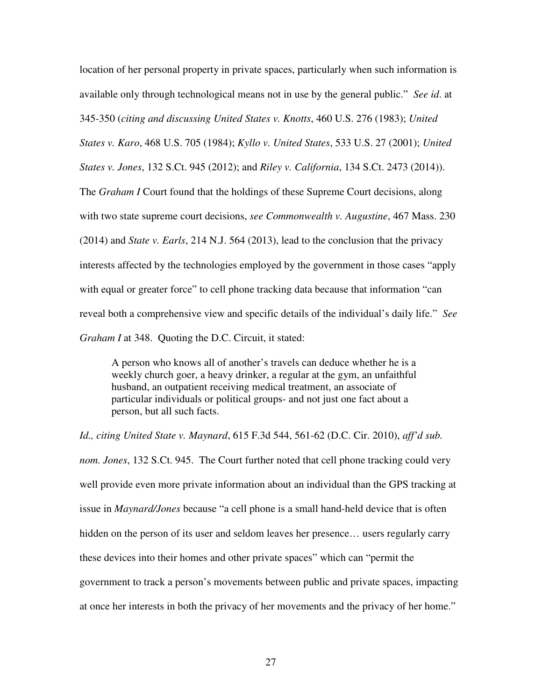location of her personal property in private spaces, particularly when such information is available only through technological means not in use by the general public." *See id*. at 345-350 (*citing and discussing United States v. Knotts*, 460 U.S. 276 (1983); *United States v. Karo*, 468 U.S. 705 (1984); *Kyllo v. United States*, 533 U.S. 27 (2001); *United States v. Jones*, 132 S.Ct. 945 (2012); and *Riley v. California*, 134 S.Ct. 2473 (2014)). The *Graham I* Court found that the holdings of these Supreme Court decisions, along with two state supreme court decisions, *see Commonwealth v. Augustine*, 467 Mass. 230 (2014) and *State v. Earls*, 214 N.J. 564 (2013), lead to the conclusion that the privacy interests affected by the technologies employed by the government in those cases "apply with equal or greater force" to cell phone tracking data because that information "can reveal both a comprehensive view and specific details of the individual's daily life." *See Graham I* at 348. Quoting the D.C. Circuit, it stated:

A person who knows all of another's travels can deduce whether he is a weekly church goer, a heavy drinker, a regular at the gym, an unfaithful husband, an outpatient receiving medical treatment, an associate of particular individuals or political groups- and not just one fact about a person, but all such facts.

*Id., citing United State v. Maynard*, 615 F.3d 544, 561-62 (D.C. Cir. 2010), *aff'd sub. nom. Jones*, 132 S.Ct. 945. The Court further noted that cell phone tracking could very well provide even more private information about an individual than the GPS tracking at issue in *Maynard/Jones* because "a cell phone is a small hand-held device that is often hidden on the person of its user and seldom leaves her presence... users regularly carry these devices into their homes and other private spaces" which can "permit the government to track a person's movements between public and private spaces, impacting at once her interests in both the privacy of her movements and the privacy of her home."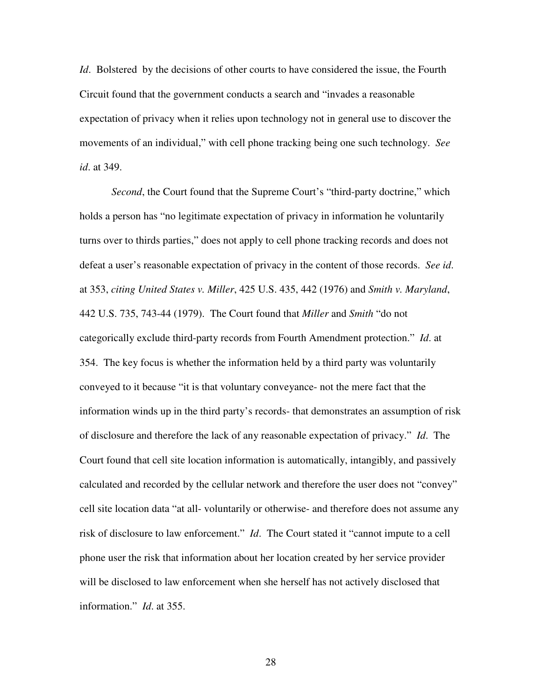*Id*. Bolstered by the decisions of other courts to have considered the issue, the Fourth Circuit found that the government conducts a search and "invades a reasonable expectation of privacy when it relies upon technology not in general use to discover the movements of an individual," with cell phone tracking being one such technology. *See id*. at 349.

*Second*, the Court found that the Supreme Court's "third-party doctrine," which holds a person has "no legitimate expectation of privacy in information he voluntarily turns over to thirds parties," does not apply to cell phone tracking records and does not defeat a user's reasonable expectation of privacy in the content of those records. *See id*. at 353, *citing United States v. Miller*, 425 U.S. 435, 442 (1976) and *Smith v. Maryland*, 442 U.S. 735, 743-44 (1979). The Court found that *Miller* and *Smith* "do not categorically exclude third-party records from Fourth Amendment protection." *Id*. at 354. The key focus is whether the information held by a third party was voluntarily conveyed to it because "it is that voluntary conveyance- not the mere fact that the information winds up in the third party's records- that demonstrates an assumption of risk of disclosure and therefore the lack of any reasonable expectation of privacy." *Id*. The Court found that cell site location information is automatically, intangibly, and passively calculated and recorded by the cellular network and therefore the user does not "convey" cell site location data "at all- voluntarily or otherwise- and therefore does not assume any risk of disclosure to law enforcement." *Id*. The Court stated it "cannot impute to a cell phone user the risk that information about her location created by her service provider will be disclosed to law enforcement when she herself has not actively disclosed that information." *Id*. at 355.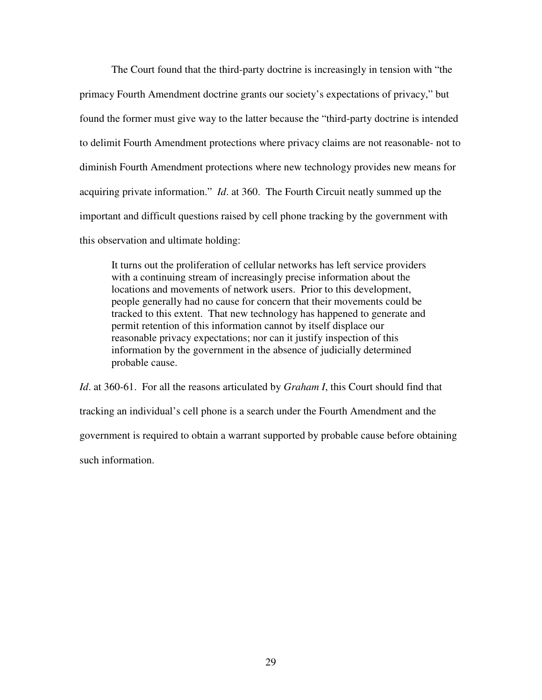The Court found that the third-party doctrine is increasingly in tension with "the primacy Fourth Amendment doctrine grants our society's expectations of privacy," but found the former must give way to the latter because the "third-party doctrine is intended to delimit Fourth Amendment protections where privacy claims are not reasonable- not to diminish Fourth Amendment protections where new technology provides new means for acquiring private information." *Id*. at 360. The Fourth Circuit neatly summed up the important and difficult questions raised by cell phone tracking by the government with this observation and ultimate holding:

It turns out the proliferation of cellular networks has left service providers with a continuing stream of increasingly precise information about the locations and movements of network users. Prior to this development, people generally had no cause for concern that their movements could be tracked to this extent. That new technology has happened to generate and permit retention of this information cannot by itself displace our reasonable privacy expectations; nor can it justify inspection of this information by the government in the absence of judicially determined probable cause.

*Id*. at 360-61. For all the reasons articulated by *Graham I*, this Court should find that tracking an individual's cell phone is a search under the Fourth Amendment and the government is required to obtain a warrant supported by probable cause before obtaining such information.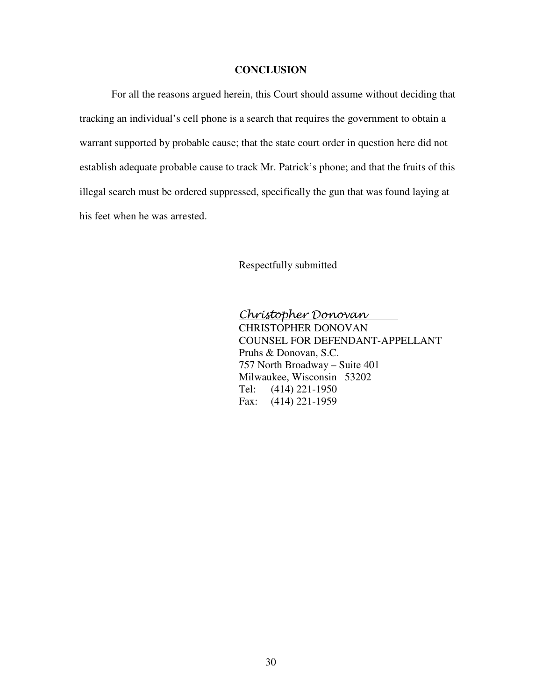#### **CONCLUSION**

For all the reasons argued herein, this Court should assume without deciding that tracking an individual's cell phone is a search that requires the government to obtain a warrant supported by probable cause; that the state court order in question here did not establish adequate probable cause to track Mr. Patrick's phone; and that the fruits of this illegal search must be ordered suppressed, specifically the gun that was found laying at his feet when he was arrested.

Respectfully submitted

Christopher Donovan CHRISTOPHER DONOVAN COUNSEL FOR DEFENDANT-APPELLANT Pruhs & Donovan, S.C. 757 North Broadway – Suite 401 Milwaukee, Wisconsin 53202 Tel: (414) 221-1950 Fax: (414) 221-1959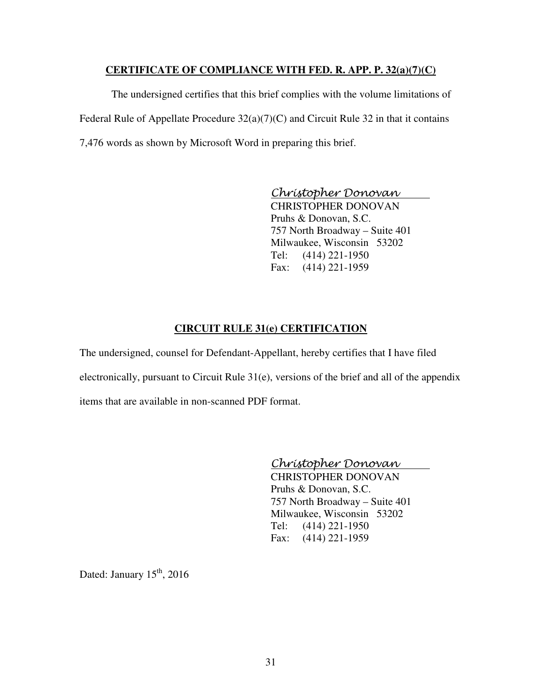### **CERTIFICATE OF COMPLIANCE WITH FED. R. APP. P. 32(a)(7)(C)**

 The undersigned certifies that this brief complies with the volume limitations of Federal Rule of Appellate Procedure  $32(a)(7)(C)$  and Circuit Rule 32 in that it contains 7,476 words as shown by Microsoft Word in preparing this brief.

Christopher Donovan

 CHRISTOPHER DONOVAN Pruhs & Donovan, S.C. 757 North Broadway – Suite 401 Milwaukee, Wisconsin 53202 Tel: (414) 221-1950 Fax: (414) 221-1959

# **CIRCUIT RULE 31(e) CERTIFICATION**

The undersigned, counsel for Defendant-Appellant, hereby certifies that I have filed electronically, pursuant to Circuit Rule 31(e), versions of the brief and all of the appendix items that are available in non-scanned PDF format.

# Christopher Donovan

 CHRISTOPHER DONOVAN Pruhs & Donovan, S.C. 757 North Broadway – Suite 401 Milwaukee, Wisconsin 53202 Tel: (414) 221-1950 Fax: (414) 221-1959

Dated: January  $15<sup>th</sup>$ , 2016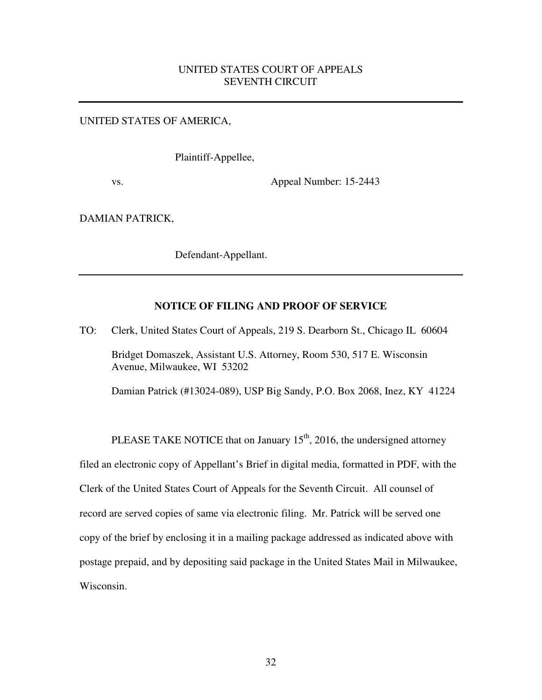# UNITED STATES COURT OF APPEALS SEVENTH CIRCUIT

#### UNITED STATES OF AMERICA,

Plaintiff-Appellee,

vs. Appeal Number: 15-2443

DAMIAN PATRICK,

Defendant-Appellant.

#### **NOTICE OF FILING AND PROOF OF SERVICE**

TO: Clerk, United States Court of Appeals, 219 S. Dearborn St., Chicago IL 60604 Bridget Domaszek, Assistant U.S. Attorney, Room 530, 517 E. Wisconsin Avenue, Milwaukee, WI 53202

Damian Patrick (#13024-089), USP Big Sandy, P.O. Box 2068, Inez, KY 41224

PLEASE TAKE NOTICE that on January  $15<sup>th</sup>$ , 2016, the undersigned attorney filed an electronic copy of Appellant's Brief in digital media, formatted in PDF, with the Clerk of the United States Court of Appeals for the Seventh Circuit. All counsel of record are served copies of same via electronic filing. Mr. Patrick will be served one copy of the brief by enclosing it in a mailing package addressed as indicated above with postage prepaid, and by depositing said package in the United States Mail in Milwaukee, Wisconsin.